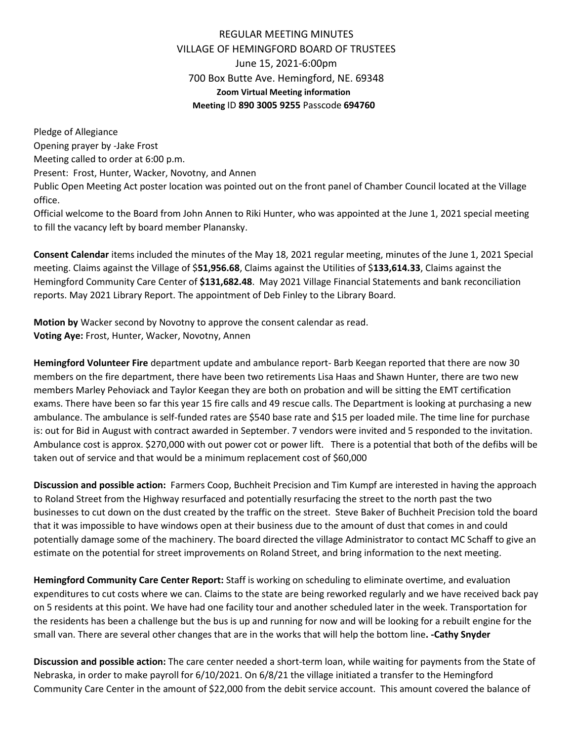## REGULAR MEETING MINUTES VILLAGE OF HEMINGFORD BOARD OF TRUSTEES June 15, 2021-6:00pm 700 Box Butte Ave. Hemingford, NE. 69348 **Zoom Virtual Meeting information Meeting** ID **890 3005 9255** Passcode **694760**

Pledge of Allegiance Opening prayer by -Jake Frost Meeting called to order at 6:00 p.m. Present: Frost, Hunter, Wacker, Novotny, and Annen Public Open Meeting Act poster location was pointed out on the front panel of Chamber Council located at the Village office.

Official welcome to the Board from John Annen to Riki Hunter, who was appointed at the June 1, 2021 special meeting to fill the vacancy left by board member Planansky.

**Consent Calendar** items included the minutes of the May 18, 2021 regular meeting, minutes of the June 1, 2021 Special meeting. Claims against the Village of \$**51,956.68**, Claims against the Utilities of \$**133,614.33**, Claims against the Hemingford Community Care Center of **\$131,682.48**. May 2021 Village Financial Statements and bank reconciliation reports. May 2021 Library Report. The appointment of Deb Finley to the Library Board.

**Motion by** Wacker second by Novotny to approve the consent calendar as read. **Voting Aye:** Frost, Hunter, Wacker, Novotny, Annen

**Hemingford Volunteer Fire** department update and ambulance report- Barb Keegan reported that there are now 30 members on the fire department, there have been two retirements Lisa Haas and Shawn Hunter, there are two new members Marley Pehoviack and Taylor Keegan they are both on probation and will be sitting the EMT certification exams. There have been so far this year 15 fire calls and 49 rescue calls. The Department is looking at purchasing a new ambulance. The ambulance is self-funded rates are \$540 base rate and \$15 per loaded mile. The time line for purchase is: out for Bid in August with contract awarded in September. 7 vendors were invited and 5 responded to the invitation. Ambulance cost is approx. \$270,000 with out power cot or power lift. There is a potential that both of the defibs will be taken out of service and that would be a minimum replacement cost of \$60,000

**Discussion and possible action:** Farmers Coop, Buchheit Precision and Tim Kumpf are interested in having the approach to Roland Street from the Highway resurfaced and potentially resurfacing the street to the north past the two businesses to cut down on the dust created by the traffic on the street. Steve Baker of Buchheit Precision told the board that it was impossible to have windows open at their business due to the amount of dust that comes in and could potentially damage some of the machinery. The board directed the village Administrator to contact MC Schaff to give an estimate on the potential for street improvements on Roland Street, and bring information to the next meeting.

**Hemingford Community Care Center Report:** Staff is working on scheduling to eliminate overtime, and evaluation expenditures to cut costs where we can. Claims to the state are being reworked regularly and we have received back pay on 5 residents at this point. We have had one facility tour and another scheduled later in the week. Transportation for the residents has been a challenge but the bus is up and running for now and will be looking for a rebuilt engine for the small van. There are several other changes that are in the works that will help the bottom line**. -Cathy Snyder**

**Discussion and possible action:** The care center needed a short-term loan, while waiting for payments from the State of Nebraska, in order to make payroll for 6/10/2021. On 6/8/21 the village initiated a transfer to the Hemingford Community Care Center in the amount of \$22,000 from the debit service account. This amount covered the balance of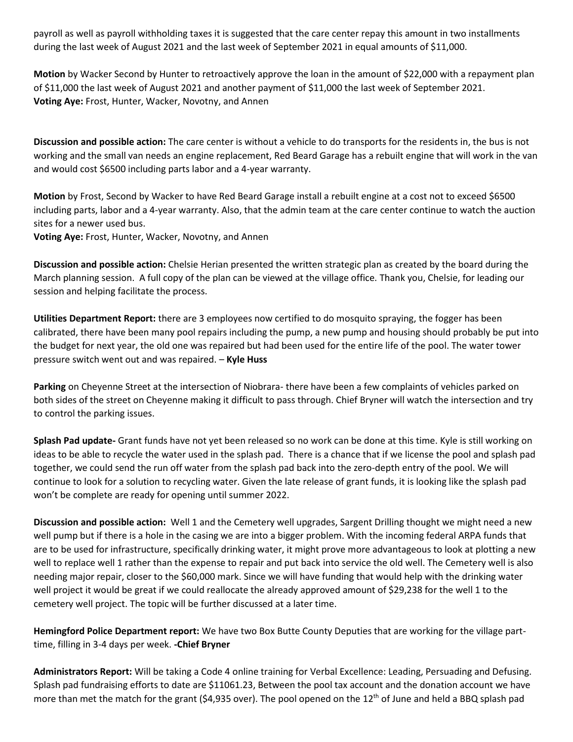payroll as well as payroll withholding taxes it is suggested that the care center repay this amount in two installments during the last week of August 2021 and the last week of September 2021 in equal amounts of \$11,000.

**Motion** by Wacker Second by Hunter to retroactively approve the loan in the amount of \$22,000 with a repayment plan of \$11,000 the last week of August 2021 and another payment of \$11,000 the last week of September 2021. **Voting Aye:** Frost, Hunter, Wacker, Novotny, and Annen

**Discussion and possible action:** The care center is without a vehicle to do transports for the residents in, the bus is not working and the small van needs an engine replacement, Red Beard Garage has a rebuilt engine that will work in the van and would cost \$6500 including parts labor and a 4-year warranty.

**Motion** by Frost, Second by Wacker to have Red Beard Garage install a rebuilt engine at a cost not to exceed \$6500 including parts, labor and a 4-year warranty. Also, that the admin team at the care center continue to watch the auction sites for a newer used bus.

**Voting Aye:** Frost, Hunter, Wacker, Novotny, and Annen

**Discussion and possible action:** Chelsie Herian presented the written strategic plan as created by the board during the March planning session. A full copy of the plan can be viewed at the village office. Thank you, Chelsie, for leading our session and helping facilitate the process.

**Utilities Department Report:** there are 3 employees now certified to do mosquito spraying, the fogger has been calibrated, there have been many pool repairs including the pump, a new pump and housing should probably be put into the budget for next year, the old one was repaired but had been used for the entire life of the pool. The water tower pressure switch went out and was repaired. – **Kyle Huss**

**Parking** on Cheyenne Street at the intersection of Niobrara- there have been a few complaints of vehicles parked on both sides of the street on Cheyenne making it difficult to pass through. Chief Bryner will watch the intersection and try to control the parking issues.

**Splash Pad update-** Grant funds have not yet been released so no work can be done at this time. Kyle is still working on ideas to be able to recycle the water used in the splash pad. There is a chance that if we license the pool and splash pad together, we could send the run off water from the splash pad back into the zero-depth entry of the pool. We will continue to look for a solution to recycling water. Given the late release of grant funds, it is looking like the splash pad won't be complete are ready for opening until summer 2022.

**Discussion and possible action:** Well 1 and the Cemetery well upgrades, Sargent Drilling thought we might need a new well pump but if there is a hole in the casing we are into a bigger problem. With the incoming federal ARPA funds that are to be used for infrastructure, specifically drinking water, it might prove more advantageous to look at plotting a new well to replace well 1 rather than the expense to repair and put back into service the old well. The Cemetery well is also needing major repair, closer to the \$60,000 mark. Since we will have funding that would help with the drinking water well project it would be great if we could reallocate the already approved amount of \$29,238 for the well 1 to the cemetery well project. The topic will be further discussed at a later time.

**Hemingford Police Department report:** We have two Box Butte County Deputies that are working for the village parttime, filling in 3-4 days per week. **-Chief Bryner**

**Administrators Report:** Will be taking a Code 4 online training for Verbal Excellence: Leading, Persuading and Defusing. Splash pad fundraising efforts to date are \$11061.23, Between the pool tax account and the donation account we have more than met the match for the grant (\$4,935 over). The pool opened on the 12<sup>th</sup> of June and held a BBQ splash pad